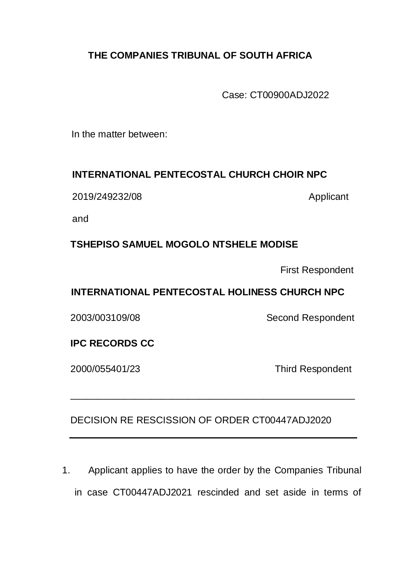# **THE COMPANIES TRIBUNAL OF SOUTH AFRICA**

Case: CT00900ADJ2022

In the matter between:

### **INTERNATIONAL PENTECOSTAL CHURCH CHOIR NPC**

2019/249232/08 Applicant

and

## **TSHEPISO SAMUEL MOGOLO NTSHELE MODISE**

First Respondent

## **INTERNATIONAL PENTECOSTAL HOLINESS CHURCH NPC**

2003/003109/08 Second Respondent

### **IPC RECORDS CC**

2000/055401/23 Third Respondent

# DECISION RE RESCISSION OF ORDER CT00447ADJ2020

\_\_\_\_\_\_\_\_\_\_\_\_\_\_\_\_\_\_\_\_\_\_\_\_\_\_\_\_\_\_\_\_\_\_\_\_\_\_\_\_\_\_\_\_\_\_\_\_\_\_\_\_\_

1. Applicant applies to have the order by the Companies Tribunal in case CT00447ADJ2021 rescinded and set aside in terms of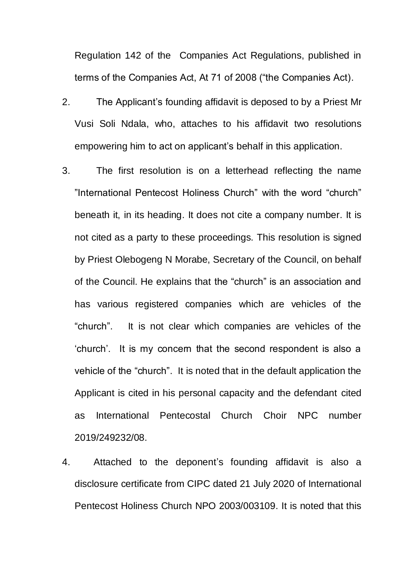Regulation 142 of the Companies Act Regulations, published in terms of the Companies Act, At 71 of 2008 ("the Companies Act).

- 2. The Applicant's founding affidavit is deposed to by a Priest Mr Vusi Soli Ndala, who, attaches to his affidavit two resolutions empowering him to act on applicant's behalf in this application.
- 3. The first resolution is on a letterhead reflecting the name "International Pentecost Holiness Church" with the word "church" beneath it, in its heading. It does not cite a company number. It is not cited as a party to these proceedings. This resolution is signed by Priest Olebogeng N Morabe, Secretary of the Council, on behalf of the Council. He explains that the "church" is an association and has various registered companies which are vehicles of the "church". It is not clear which companies are vehicles of the 'church'. It is my concern that the second respondent is also a vehicle of the "church". It is noted that in the default application the Applicant is cited in his personal capacity and the defendant cited as International Pentecostal Church Choir NPC number 2019/249232/08.
- 4. Attached to the deponent's founding affidavit is also a disclosure certificate from CIPC dated 21 July 2020 of International Pentecost Holiness Church NPO 2003/003109. It is noted that this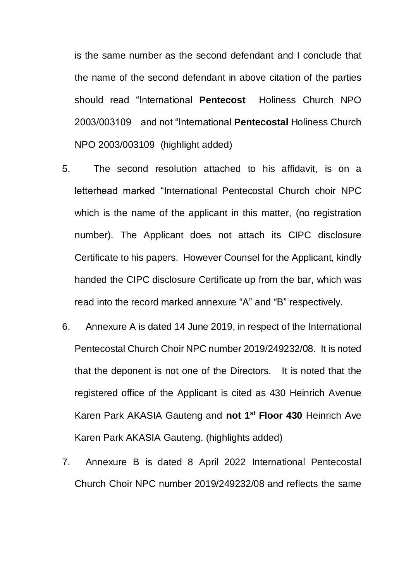is the same number as the second defendant and I conclude that the name of the second defendant in above citation of the parties should read "International **Pentecost** Holiness Church NPO 2003/003109 and not "International **Pentecostal** Holiness Church NPO 2003/003109 (highlight added)

- 5. The second resolution attached to his affidavit, is on a letterhead marked "International Pentecostal Church choir NPC which is the name of the applicant in this matter, (no registration number). The Applicant does not attach its CIPC disclosure Certificate to his papers. However Counsel for the Applicant, kindly handed the CIPC disclosure Certificate up from the bar, which was read into the record marked annexure "A" and "B" respectively.
- 6. Annexure A is dated 14 June 2019, in respect of the International Pentecostal Church Choir NPC number 2019/249232/08. It is noted that the deponent is not one of the Directors. It is noted that the registered office of the Applicant is cited as 430 Heinrich Avenue Karen Park AKASIA Gauteng and **not 1st Floor 430** Heinrich Ave Karen Park AKASIA Gauteng. (highlights added)
- 7. Annexure B is dated 8 April 2022 International Pentecostal Church Choir NPC number 2019/249232/08 and reflects the same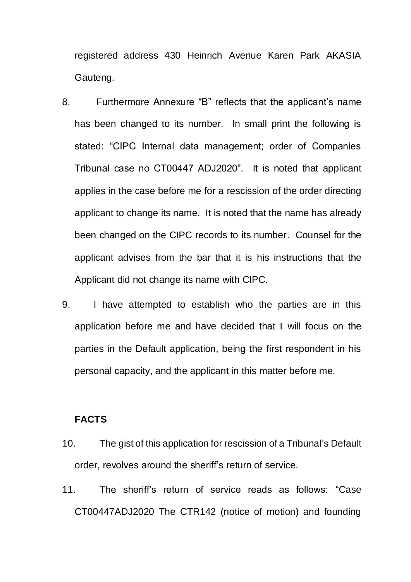registered address 430 Heinrich Avenue Karen Park AKASIA Gauteng.

- 8. Furthermore Annexure "B" reflects that the applicant's name has been changed to its number. In small print the following is stated: "CIPC Internal data management; order of Companies Tribunal case no CT00447 ADJ2020". It is noted that applicant applies in the case before me for a rescission of the order directing applicant to change its name. It is noted that the name has already been changed on the CIPC records to its number. Counsel for the applicant advises from the bar that it is his instructions that the Applicant did not change its name with CIPC.
- 9. I have attempted to establish who the parties are in this application before me and have decided that I will focus on the parties in the Default application, being the first respondent in his personal capacity, and the applicant in this matter before me.

#### **FACTS**

- 10. The gist of this application for rescission of a Tribunal's Default order, revolves around the sheriff's return of service.
- 11. The sheriff's return of service reads as follows: "Case CT00447ADJ2020 The CTR142 (notice of motion) and founding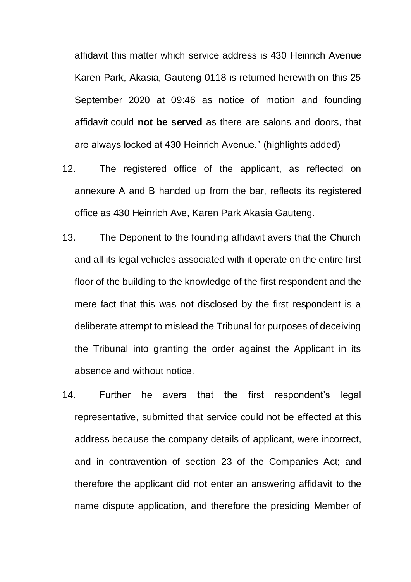affidavit this matter which service address is 430 Heinrich Avenue Karen Park, Akasia, Gauteng 0118 is returned herewith on this 25 September 2020 at 09:46 as notice of motion and founding affidavit could **not be served** as there are salons and doors, that are always locked at 430 Heinrich Avenue." (highlights added)

- 12. The registered office of the applicant, as reflected on annexure A and B handed up from the bar, reflects its registered office as 430 Heinrich Ave, Karen Park Akasia Gauteng.
- 13. The Deponent to the founding affidavit avers that the Church and all its legal vehicles associated with it operate on the entire first floor of the building to the knowledge of the first respondent and the mere fact that this was not disclosed by the first respondent is a deliberate attempt to mislead the Tribunal for purposes of deceiving the Tribunal into granting the order against the Applicant in its absence and without notice.
- 14. Further he avers that the first respondent's legal representative, submitted that service could not be effected at this address because the company details of applicant, were incorrect, and in contravention of section 23 of the Companies Act; and therefore the applicant did not enter an answering affidavit to the name dispute application, and therefore the presiding Member of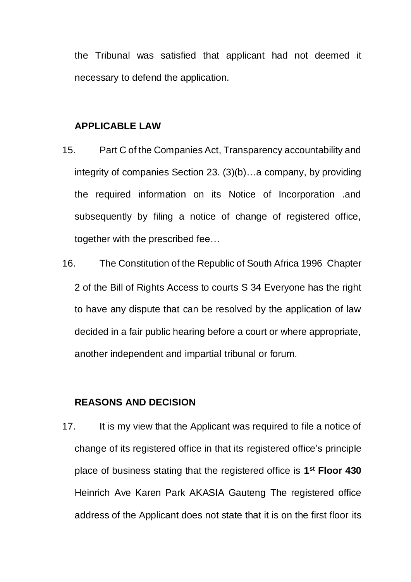the Tribunal was satisfied that applicant had not deemed it necessary to defend the application.

#### **APPLICABLE LAW**

- 15. Part C of the Companies Act, Transparency accountability and integrity of companies Section 23. (3)(b)…a company, by providing the required information on its Notice of Incorporation .and subsequently by filing a notice of change of registered office, together with the prescribed fee…
- 16. The Constitution of the Republic of South Africa 1996 Chapter 2 of the Bill of Rights Access to courts S 34 Everyone has the right to have any dispute that can be resolved by the application of law decided in a fair public hearing before a court or where appropriate, another independent and impartial tribunal or forum.

#### **REASONS AND DECISION**

17. It is my view that the Applicant was required to file a notice of change of its registered office in that its registered office's principle place of business stating that the registered office is **1 st Floor 430** Heinrich Ave Karen Park AKASIA Gauteng The registered office address of the Applicant does not state that it is on the first floor its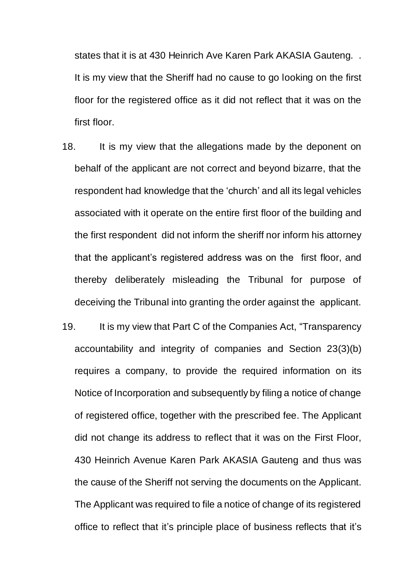states that it is at 430 Heinrich Ave Karen Park AKASIA Gauteng. . It is my view that the Sheriff had no cause to go looking on the first floor for the registered office as it did not reflect that it was on the first floor.

- 18. It is my view that the allegations made by the deponent on behalf of the applicant are not correct and beyond bizarre, that the respondent had knowledge that the 'church' and all its legal vehicles associated with it operate on the entire first floor of the building and the first respondent did not inform the sheriff nor inform his attorney that the applicant's registered address was on the first floor, and thereby deliberately misleading the Tribunal for purpose of deceiving the Tribunal into granting the order against the applicant.
- 19. It is my view that Part C of the Companies Act, "Transparency accountability and integrity of companies and Section 23(3)(b) requires a company, to provide the required information on its Notice of Incorporation and subsequently by filing a notice of change of registered office, together with the prescribed fee. The Applicant did not change its address to reflect that it was on the First Floor, 430 Heinrich Avenue Karen Park AKASIA Gauteng and thus was the cause of the Sheriff not serving the documents on the Applicant. The Applicant was required to file a notice of change of its registered office to reflect that it's principle place of business reflects that it's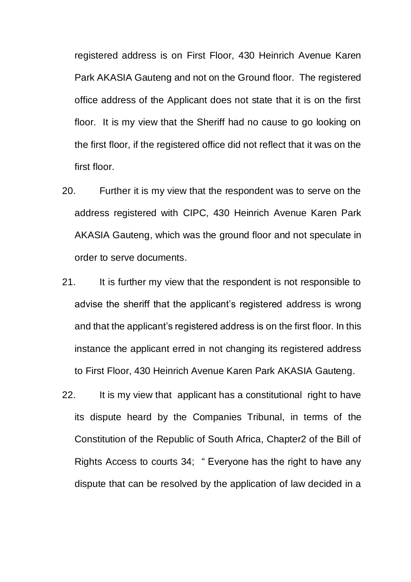registered address is on First Floor, 430 Heinrich Avenue Karen Park AKASIA Gauteng and not on the Ground floor. The registered office address of the Applicant does not state that it is on the first floor. It is my view that the Sheriff had no cause to go looking on the first floor, if the registered office did not reflect that it was on the first floor.

- 20. Further it is my view that the respondent was to serve on the address registered with CIPC, 430 Heinrich Avenue Karen Park AKASIA Gauteng, which was the ground floor and not speculate in order to serve documents.
- 21. It is further my view that the respondent is not responsible to advise the sheriff that the applicant's registered address is wrong and that the applicant's registered address is on the first floor. In this instance the applicant erred in not changing its registered address to First Floor, 430 Heinrich Avenue Karen Park AKASIA Gauteng.
- 22. It is my view that applicant has a constitutional right to have its dispute heard by the Companies Tribunal, in terms of the Constitution of the Republic of South Africa, Chapter2 of the Bill of Rights Access to courts 34; " Everyone has the right to have any dispute that can be resolved by the application of law decided in a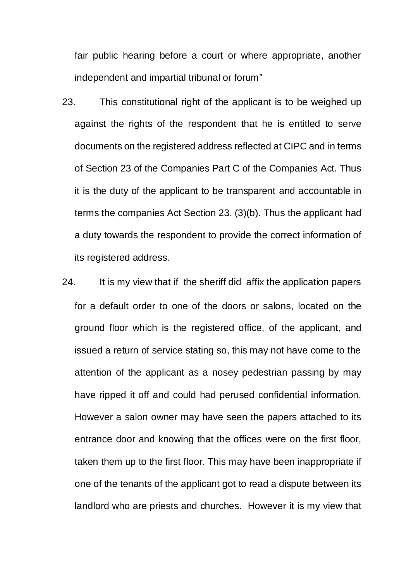fair public hearing before a court or where appropriate, another independent and impartial tribunal or forum"

- 23. This constitutional right of the applicant is to be weighed up against the rights of the respondent that he is entitled to serve documents on the registered address reflected at CIPC and in terms of Section 23 of the Companies Part C of the Companies Act. Thus it is the duty of the applicant to be transparent and accountable in terms the companies Act Section 23. (3)(b). Thus the applicant had a duty towards the respondent to provide the correct information of its registered address.
- 24. It is my view that if the sheriff did affix the application papers for a default order to one of the doors or salons, located on the ground floor which is the registered office, of the applicant, and issued a return of service stating so, this may not have come to the attention of the applicant as a nosey pedestrian passing by may have ripped it off and could had perused confidential information. However a salon owner may have seen the papers attached to its entrance door and knowing that the offices were on the first floor, taken them up to the first floor. This may have been inappropriate if one of the tenants of the applicant got to read a dispute between its landlord who are priests and churches. However it is my view that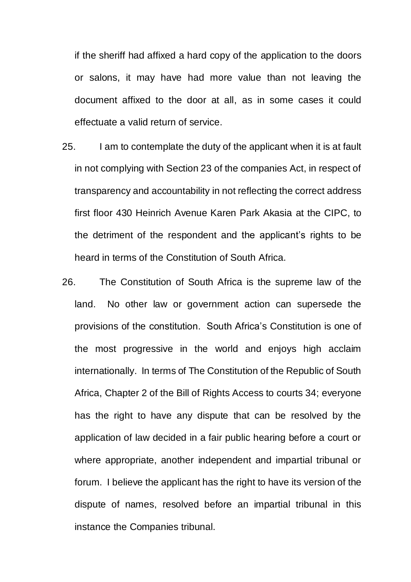if the sheriff had affixed a hard copy of the application to the doors or salons, it may have had more value than not leaving the document affixed to the door at all, as in some cases it could effectuate a valid return of service.

- 25. I am to contemplate the duty of the applicant when it is at fault in not complying with Section 23 of the companies Act, in respect of transparency and accountability in not reflecting the correct address first floor 430 Heinrich Avenue Karen Park Akasia at the CIPC, to the detriment of the respondent and the applicant's rights to be heard in terms of the Constitution of South Africa.
- 26. The Constitution of South Africa is the supreme law of the land. No other law or government action can supersede the provisions of the constitution. South Africa's Constitution is one of the most progressive in the world and enjoys high acclaim internationally. In terms of The Constitution of the Republic of South Africa, Chapter 2 of the Bill of Rights Access to courts 34; everyone has the right to have any dispute that can be resolved by the application of law decided in a fair public hearing before a court or where appropriate, another independent and impartial tribunal or forum. I believe the applicant has the right to have its version of the dispute of names, resolved before an impartial tribunal in this instance the Companies tribunal.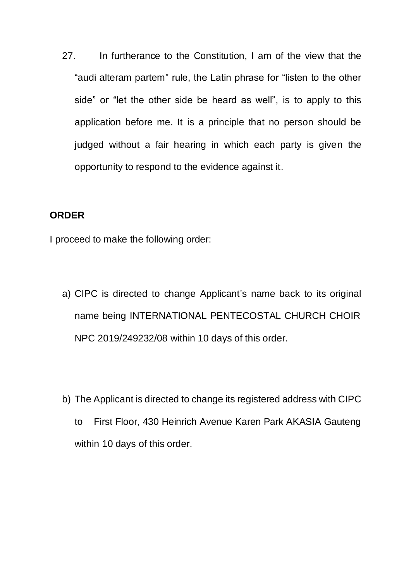27. In furtherance to the Constitution, I am of the view that the "audi alteram partem" rule, the Latin phrase for "listen to the other side" or "let the other side be heard as well", is to apply to this application before me. It is a principle that no person should be judged without a fair hearing in which each party is given the opportunity to respond to the evidence against it.

#### **ORDER**

I proceed to make the following order:

- a) CIPC is directed to change Applicant's name back to its original name being INTERNATIONAL PENTECOSTAL CHURCH CHOIR NPC 2019/249232/08 within 10 days of this order.
- b) The Applicant is directed to change its registered address with CIPC to First Floor, 430 Heinrich Avenue Karen Park AKASIA Gauteng within 10 days of this order.